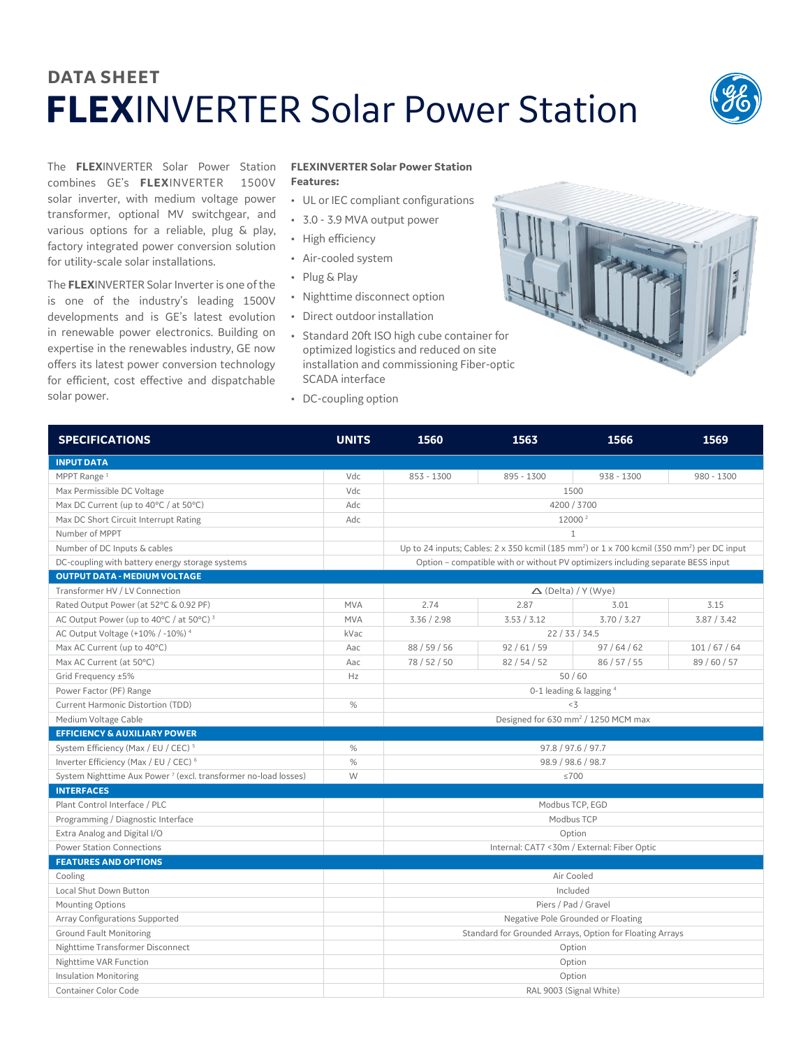## **DATA SHEET FLEX**INVERTER Solar Power Station



The **FLEX**INVERTER Solar Power Station combines GE's **FLEX**INVERTER 1500V solar inverter, with medium voltage power transformer, optional MV switchgear, and various options for a reliable, plug & play, factory integrated power conversion solution for utility-scale solar installations.

The **FLEX**INVERTER Solar Inverter is one of the is one of the industry's leading 1500V developments and is GE's latest evolution in renewable power electronics. Building on expertise in the renewables industry, GE now offers its latest power conversion technology for efficient, cost effective and dispatchable solar power.

## **FLEXINVERTER Solar Power Station Features:**

- UL or IEC compliant configurations
- 3.0 3.9 MVA output power
- High efficiency
- Air-cooled system
- Plug & Play
- Nighttime disconnect option
- Direct outdoor installation
- Standard 20ft ISO high cube container for optimized logistics and reduced on site installation and commissioning Fiber-optic SCADA interface
- DC-coupling option



| <b>SPECIFICATIONS</b>                                                      | <b>UNITS</b> | 1560                                                                                                                             | 1563        | 1566        | 1569         |  |  |
|----------------------------------------------------------------------------|--------------|----------------------------------------------------------------------------------------------------------------------------------|-------------|-------------|--------------|--|--|
| <b>INPUT DATA</b>                                                          |              |                                                                                                                                  |             |             |              |  |  |
| MPPT Range <sup>1</sup>                                                    | Vdc          | $853 - 1300$                                                                                                                     | 895 - 1300  | 938 - 1300  | $980 - 1300$ |  |  |
| Max Permissible DC Voltage                                                 | Vdc          | 1500                                                                                                                             |             |             |              |  |  |
| Max DC Current (up to 40°C / at 50°C)                                      | Adc          | 4200 / 3700                                                                                                                      |             |             |              |  |  |
| Max DC Short Circuit Interrupt Rating                                      | Adc          | 12000 <sup>2</sup>                                                                                                               |             |             |              |  |  |
| Number of MPPT                                                             |              | $\mathbf{1}$                                                                                                                     |             |             |              |  |  |
| Number of DC Inputs & cables                                               |              | Up to 24 inputs; Cables: $2 \times 350$ kcmil (185 mm <sup>2</sup> ) or $1 \times 700$ kcmil (350 mm <sup>2</sup> ) per DC input |             |             |              |  |  |
| DC-coupling with battery energy storage systems                            |              | Option - compatible with or without PV optimizers including separate BESS input                                                  |             |             |              |  |  |
| <b>OUTPUT DATA - MEDIUM VOLTAGE</b>                                        |              |                                                                                                                                  |             |             |              |  |  |
| Transformer HV / LV Connection                                             |              | $\triangle$ (Delta) / Y (Wye)                                                                                                    |             |             |              |  |  |
| Rated Output Power (at 52°C & 0.92 PF)                                     | <b>MVA</b>   | 2.74                                                                                                                             | 2.87        | 3.01        | 3.15         |  |  |
| AC Output Power (up to 40°C / at 50°C) <sup>3</sup>                        | <b>MVA</b>   | 3.36 / 2.98                                                                                                                      | 3.53 / 3.12 | 3.70 / 3.27 | 3.87 / 3.42  |  |  |
| AC Output Voltage (+10% / -10%) 4                                          | kVac         | 22/33/34.5                                                                                                                       |             |             |              |  |  |
| Max AC Current (up to 40°C)                                                | Aac          | 88 / 59 / 56                                                                                                                     | 92/61/59    | 97/64/62    | 101/67/64    |  |  |
| Max AC Current (at 50°C)                                                   | Aac          | 78 / 52 / 50                                                                                                                     | 82/54/52    | 86/57/55    | 89 / 60 / 57 |  |  |
| Grid Frequency ±5%                                                         | Hz           | 50/60                                                                                                                            |             |             |              |  |  |
| Power Factor (PF) Range                                                    |              | 0-1 leading & lagging 4                                                                                                          |             |             |              |  |  |
| Current Harmonic Distortion (TDD)                                          | %            | < 3                                                                                                                              |             |             |              |  |  |
| Medium Voltage Cable                                                       |              | Designed for 630 mm <sup>2</sup> / 1250 MCM max                                                                                  |             |             |              |  |  |
| <b>EFFICIENCY &amp; AUXILIARY POWER</b>                                    |              |                                                                                                                                  |             |             |              |  |  |
| System Efficiency (Max / EU / CEC) <sup>5</sup>                            | $\%$         | 97.8 / 97.6 / 97.7                                                                                                               |             |             |              |  |  |
| Inverter Efficiency (Max / EU / CEC) <sup>6</sup>                          | %            | 98.9 / 98.6 / 98.7                                                                                                               |             |             |              |  |  |
| System Nighttime Aux Power <sup>7</sup> (excl. transformer no-load losses) | W            | $\leq 700$                                                                                                                       |             |             |              |  |  |
| <b>INTERFACES</b>                                                          |              |                                                                                                                                  |             |             |              |  |  |
| Plant Control Interface / PLC                                              |              | Modbus TCP, EGD                                                                                                                  |             |             |              |  |  |
| Programming / Diagnostic Interface                                         |              | Modbus TCP                                                                                                                       |             |             |              |  |  |
| Extra Analog and Digital I/O                                               |              | Option                                                                                                                           |             |             |              |  |  |
| <b>Power Station Connections</b>                                           |              | Internal: CAT7 <30m / External: Fiber Optic                                                                                      |             |             |              |  |  |
| <b>FEATURES AND OPTIONS</b>                                                |              |                                                                                                                                  |             |             |              |  |  |
| Cooling                                                                    |              | Air Cooled                                                                                                                       |             |             |              |  |  |
| Local Shut Down Button                                                     |              | Included                                                                                                                         |             |             |              |  |  |
| <b>Mounting Options</b>                                                    |              | Piers / Pad / Gravel                                                                                                             |             |             |              |  |  |
| Array Configurations Supported                                             |              | Negative Pole Grounded or Floating                                                                                               |             |             |              |  |  |
| <b>Ground Fault Monitoring</b>                                             |              | Standard for Grounded Arrays, Option for Floating Arrays                                                                         |             |             |              |  |  |
| Nighttime Transformer Disconnect                                           |              | Option                                                                                                                           |             |             |              |  |  |
| Nighttime VAR Function                                                     |              | Option                                                                                                                           |             |             |              |  |  |
| <b>Insulation Monitoring</b>                                               |              | Option                                                                                                                           |             |             |              |  |  |
| <b>Container Color Code</b>                                                |              | RAL 9003 (Signal White)                                                                                                          |             |             |              |  |  |